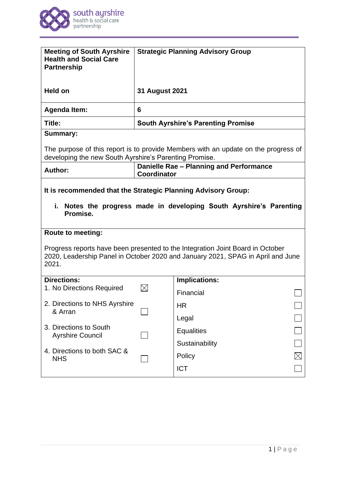

| <b>Meeting of South Ayrshire</b><br><b>Health and Social Care</b><br><b>Partnership</b>                                                                                                                |                                                               | <b>Strategic Planning Advisory Group</b>  |  |
|--------------------------------------------------------------------------------------------------------------------------------------------------------------------------------------------------------|---------------------------------------------------------------|-------------------------------------------|--|
| Held on                                                                                                                                                                                                | <b>31 August 2021</b>                                         |                                           |  |
| <b>Agenda Item:</b>                                                                                                                                                                                    | 6                                                             |                                           |  |
| Title:                                                                                                                                                                                                 |                                                               | <b>South Ayrshire's Parenting Promise</b> |  |
| <b>Summary:</b>                                                                                                                                                                                        |                                                               |                                           |  |
| The purpose of this report is to provide Members with an update on the progress of<br>developing the new South Ayrshire's Parenting Promise.                                                           |                                                               |                                           |  |
| <b>Author:</b>                                                                                                                                                                                         | Danielle Rae - Planning and Performance<br><b>Coordinator</b> |                                           |  |
| It is recommended that the Strategic Planning Advisory Group:<br>i. Notes the progress made in developing South Ayrshire's Parenting<br>Promise.                                                       |                                                               |                                           |  |
| <b>Route to meeting:</b><br>Progress reports have been presented to the Integration Joint Board in October<br>2020, Leadership Panel in October 2020 and January 2021, SPAG in April and June<br>2021. |                                                               |                                           |  |
| <b>Directions:</b><br>1. No Directions Required                                                                                                                                                        |                                                               | <b>Implications:</b>                      |  |
|                                                                                                                                                                                                        |                                                               | Financial                                 |  |
| 2. Directions to NHS Ayrshire<br>& Arran                                                                                                                                                               |                                                               | <b>HR</b>                                 |  |
|                                                                                                                                                                                                        |                                                               | Legal                                     |  |
| 3. Directions to South<br><b>Ayrshire Council</b>                                                                                                                                                      |                                                               | <b>Equalities</b>                         |  |
| 4. Directions to both SAC &                                                                                                                                                                            |                                                               | Sustainability                            |  |
| <b>NHS</b>                                                                                                                                                                                             |                                                               | Policy                                    |  |
|                                                                                                                                                                                                        |                                                               | <b>ICT</b>                                |  |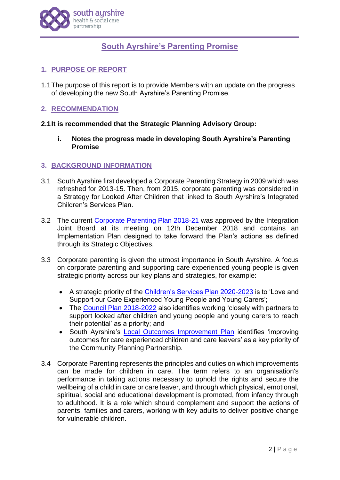

# **South Ayrshire's Parenting Promise**

# **1. PURPOSE OF REPORT**

1.1The purpose of this report is to provide Members with an update on the progress of developing the new South Ayrshire's Parenting Promise.

# **2. RECOMMENDATION**

# **2.1It is recommended that the Strategic Planning Advisory Group:**

**i. Notes the progress made in developing South Ayrshire's Parenting Promise**

# **3. BACKGROUND INFORMATION**

- 3.1 South Ayrshire first developed a Corporate Parenting Strategy in 2009 which was refreshed for 2013-15. Then, from 2015, corporate parenting was considered in a Strategy for Looked After Children that linked to South Ayrshire's Integrated Children's Services Plan.
- 3.2 The current [Corporate Parenting Plan 2018-21](https://www.south-ayrshire.gov.uk/health-social-care-partnership/documents/29012019_corporate%20parenting%20plan%202018-2021.pdf) was approved by the Integration Joint Board at its meeting on 12th December 2018 and contains an Implementation Plan designed to take forward the Plan's actions as defined through its Strategic Objectives.
- 3.3 Corporate parenting is given the utmost importance in South Ayrshire. A focus on corporate parenting and supporting care experienced young people is given strategic priority across our key plans and strategies, for example:
	- A strategic priority of the [Children's Services Plan 2020-2023](https://www.south-ayrshire.gov.uk/childrens-services-plan/south%20ayrshire%20children) is to 'Love and Support our Care Experienced Young People and Young Carers';
	- The [Council Plan 2018-2022](https://www.south-ayrshire.gov.uk/council-plans/documents/sac%20council%20plan%202018-2020%20mid%20term%20refresh%20-%20feb%202020%20v7%20final.pdf) also identifies working 'closely with partners to support looked after children and young people and young carers to reach their potential' as a priority; and
	- South Ayrshire's [Local Outcomes Improvement Plan](https://www.south-ayrshire.gov.uk/cpp/documents/SAC%20Local%20Outcomes%20Improvement%20Plan%20(LOIP)%202019%20v5%20June%202019.pdf) identifies 'improving outcomes for care experienced children and care leavers' as a key priority of the Community Planning Partnership.
- 3.4 Corporate Parenting represents the principles and duties on which improvements can be made for children in care. The term refers to an organisation's performance in taking actions necessary to uphold the rights and secure the wellbeing of a child in care or care leaver, and through which physical, emotional, spiritual, social and educational development is promoted, from infancy through to adulthood. It is a role which should complement and support the actions of parents, families and carers, working with key adults to deliver positive change for vulnerable children.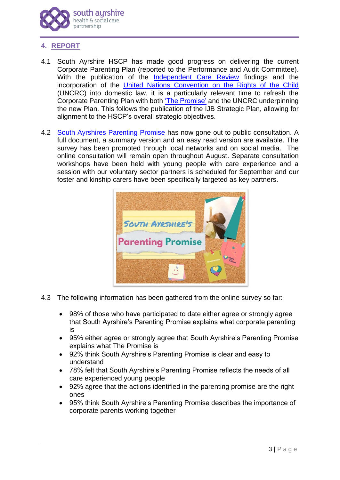

# **4. REPORT**

- 4.1 South Ayrshire HSCP has made good progress on delivering the current Corporate Parenting Plan (reported to the Performance and Audit Committee). With the publication of the [Independent Care Review](https://www.carereview.scot/) findings and the incorporation of the [United Nations Convention on the Rights of the Child](https://www.gov.scot/policies/human-rights/childrens-rights/) (UNCRC) into domestic law, it is a particularly relevant time to refresh the Corporate Parenting Plan with both ['The Promise'](https://www.carereview.scot/wp-content/uploads/2020/02/The-Promise.pdf) and the UNCRC underpinning the new Plan. This follows the publication of the IJB Strategic Plan, allowing for alignment to the HSCP's overall strategic objectives.
- 4.2 [South Ayrshires Parenting Promise](https://hscp.south-ayrshire.gov.uk/article/30204/South-Ayrshire-s-Parenting-Promise) has now gone out to public consultation. A full document, a summary version and an easy read version are available. The survey has been promoted through local networks and on social media. The online consultation will remain open throughout August. Separate consultation workshops have been held with young people with care experience and a session with our voluntary sector partners is scheduled for September and our foster and kinship carers have been specifically targeted as key partners.



- 4.3 The following information has been gathered from the online survey so far:
	- 98% of those who have participated to date either agree or strongly agree that South Ayrshire's Parenting Promise explains what corporate parenting is
	- 95% either agree or strongly agree that South Ayrshire's Parenting Promise explains what The Promise is
	- 92% think South Ayrshire's Parenting Promise is clear and easy to understand
	- 78% felt that South Ayrshire's Parenting Promise reflects the needs of all care experienced young people
	- 92% agree that the actions identified in the parenting promise are the right ones
	- 95% think South Ayrshire's Parenting Promise describes the importance of corporate parents working together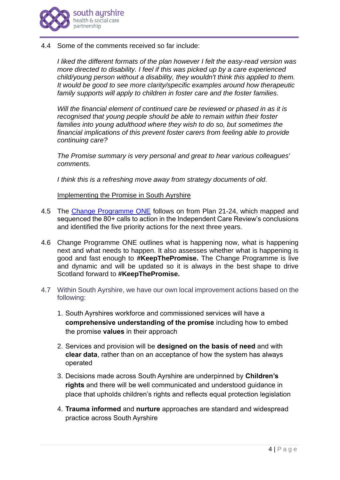

4.4 Some of the comments received so far include:

*I liked the different formats of the plan however I felt the easy-read version was more directed to disability. I feel if this was picked up by a care experienced child/young person without a disability, they wouldn't think this applied to them. It would be good to see more clarity/specific examples around how therapeutic family supports will apply to children in foster care and the foster families.*

*Will the financial element of continued care be reviewed or phased in as it is recognised that young people should be able to remain within their foster*  families into young adulthood where they wish to do so, but sometimes the *financial implications of this prevent foster carers from feeling able to provide continuing care?*

*The Promise summary is very personal and great to hear various colleagues' comments.*

*I think this is a refreshing move away from strategy documents of old.*

Implementing the Promise in South Ayrshire

- 4.5 The [Change Programme ONE](https://thepromise.scot/change-programme-one/) follows on from Plan 21-24, which mapped and sequenced the 80+ calls to action in the Independent Care Review's conclusions and identified the five priority actions for the next three years.
- 4.6 Change Programme ONE outlines what is happening now, what is happening next and what needs to happen. It also assesses whether what is happening is good and fast enough to **#KeepThePromise.** The Change Programme is live and dynamic and will be updated so it is always in the best shape to drive Scotland forward to **#KeepThePromise.**
- 4.7 Within South Ayrshire, we have our own local improvement actions based on the following:
	- 1. South Ayrshires workforce and commissioned services will have a **comprehensive understanding of the promise** including how to embed the promise **values** in their approach
	- 2. Services and provision will be **designed on the basis of need** and with **clear data**, rather than on an acceptance of how the system has always operated
	- 3. Decisions made across South Ayrshire are underpinned by **Children's rights** and there will be well communicated and understood guidance in place that upholds children's rights and reflects equal protection legislation
	- 4. **Trauma informed** and **nurture** approaches are standard and widespread practice across South Ayrshire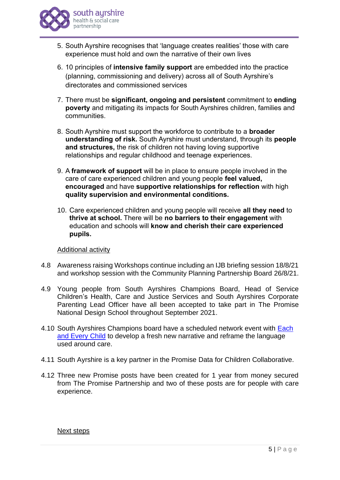

- 5. South Ayrshire recognises that 'language creates realities' those with care experience must hold and own the narrative of their own lives
- 6. 10 principles of **intensive family support** are embedded into the practice (planning, commissioning and delivery) across all of South Ayrshire's directorates and commissioned services
- 7. There must be **significant, ongoing and persistent** commitment to **ending poverty** and mitigating its impacts for South Ayrshires children, families and communities.
- 8. South Ayrshire must support the workforce to contribute to a **broader understanding of risk.** South Ayrshire must understand, through its **people and structures,** the risk of children not having loving supportive relationships and regular childhood and teenage experiences.
- 9. A **framework of support** will be in place to ensure people involved in the care of care experienced children and young people **feel valued, encouraged** and have **supportive relationships for reflection** with high **quality supervision and environmental conditions.**
- 10. Care experienced children and young people will receive **all they need** to **thrive at school.** There will be **no barriers to their engagement** with education and schools will **know and cherish their care experienced pupils.**

## Additional activity

- 4.8 Awareness raising Workshops continue including an IJB briefing session 18/8/21 and workshop session with the Community Planning Partnership Board 26/8/21.
- 4.9 Young people from South Ayrshires Champions Board, Head of Service Children's Health, Care and Justice Services and South Ayrshires Corporate Parenting Lead Officer have all been accepted to take part in The Promise National Design School throughout September 2021.
- 4.10 South Ayrshires Champions board have a scheduled network event with [Each](https://eachandeverychild.co.uk/#:~:text=Each%20and%20Every%20Child%20is%20a%20new%20initiative,chances%20of%20children%2C%20young%20people%20and%20their%20families.)  [and Every Child](https://eachandeverychild.co.uk/#:~:text=Each%20and%20Every%20Child%20is%20a%20new%20initiative,chances%20of%20children%2C%20young%20people%20and%20their%20families.) to develop a fresh new narrative and reframe the language used around care.
- 4.11 South Ayrshire is a key partner in the Promise Data for Children Collaborative.
- 4.12 Three new Promise posts have been created for 1 year from money secured from The Promise Partnership and two of these posts are for people with care experience.

## Next steps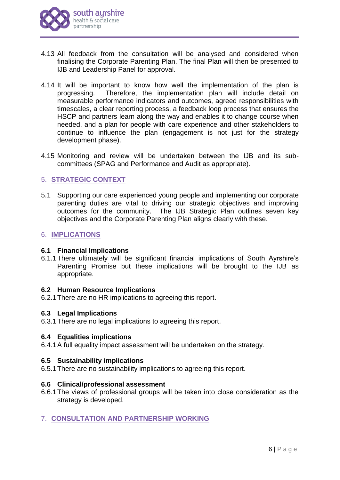

- 4.13 All feedback from the consultation will be analysed and considered when finalising the Corporate Parenting Plan. The final Plan will then be presented to IJB and Leadership Panel for approval.
- 4.14 It will be important to know how well the implementation of the plan is progressing. Therefore, the implementation plan will include detail on measurable performance indicators and outcomes, agreed responsibilities with timescales, a clear reporting process, a feedback loop process that ensures the HSCP and partners learn along the way and enables it to change course when needed, and a plan for people with care experience and other stakeholders to continue to influence the plan (engagement is not just for the strategy development phase).
- 4.15 Monitoring and review will be undertaken between the IJB and its subcommittees (SPAG and Performance and Audit as appropriate).

# 5. **STRATEGIC CONTEXT**

5.1 Supporting our care experienced young people and implementing our corporate parenting duties are vital to driving our strategic objectives and improving outcomes for the community. The IJB Strategic Plan outlines seven key objectives and the Corporate Parenting Plan aligns clearly with these.

## 6. **IMPLICATIONS**

## **6.1 Financial Implications**

6.1.1There ultimately will be significant financial implications of South Ayrshire's Parenting Promise but these implications will be brought to the IJB as appropriate.

## **6.2 Human Resource Implications**

6.2.1There are no HR implications to agreeing this report.

## **6.3 Legal Implications**

6.3.1There are no legal implications to agreeing this report.

## **6.4 Equalities implications**

6.4.1A full equality impact assessment will be undertaken on the strategy.

# **6.5 Sustainability implications**

6.5.1There are no sustainability implications to agreeing this report.

## **6.6 Clinical/professional assessment**

- 6.6.1The views of professional groups will be taken into close consideration as the strategy is developed.
- 7. **CONSULTATION AND PARTNERSHIP WORKING**